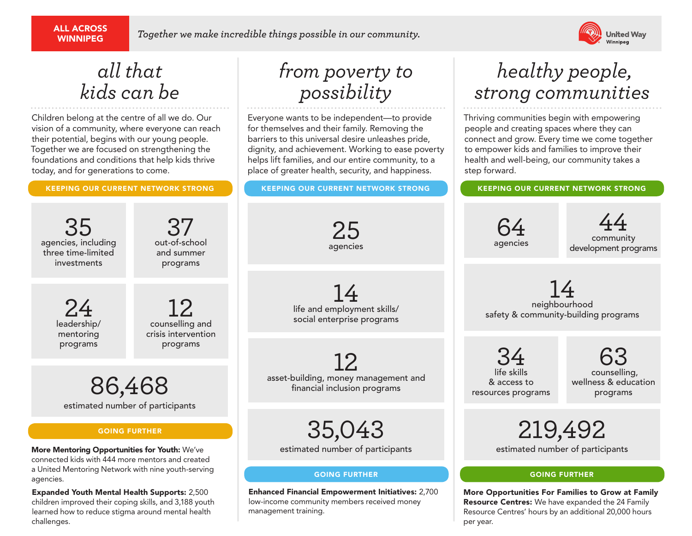# ALL ACROSS

WINNIPEG *Together we make incredible things possible in our community.*



# *all that kids can be*

Children belong at the centre of all we do. Our vision of a community, where everyone can reach their potential, begins with our young people. Together we are focused on strengthening the foundations and conditions that help kids thrive today, and for generations to come.

# *from poverty to possibility*

Everyone wants to be independent—to provide for themselves and their family. Removing the barriers to this universal desire unleashes pride, dignity, and achievement. Working to ease poverty helps lift families, and our entire community, to a place of greater health, security, and happiness.

#### KEEPING OUR CURRENT NETWORK STRONG KEEPING OUR CURRENT NETWORK STRONG KEEPING OUR CURRENT NETWORK STRONG

25 agencies

# *healthy people, strong communities*

Thriving communities begin with empowering people and creating spaces where they can connect and grow. Every time we come together to empower kids and families to improve their health and well-being, our community takes a step forward.

35 agencies, including three time-limited investments  $37$ out-of-school and summer programs 24 leadership/ mentoring programs  $12<sub>conselling and</sub>$ crisis intervention programs

> 86,468 estimated number of participants

#### GOING FURTHER

More Mentoring Opportunities for Youth: We've connected kids with 444 more mentors and created a United Mentoring Network with nine youth-serving agencies.

Expanded Youth Mental Health Supports: 2,500 children improved their coping skills, and 3,188 youth learned how to reduce stigma around mental health challenges.

 $\frac{1}{4}$ life and employment skills/ social enterprise programs

12 asset-building, money management and financial inclusion programs

35,043

estimated number of participants

#### GOING FURTHER GOING FURTHER

Enhanced Financial Empowerment Initiatives: 2,700 low-income community members received money management training.

14 neighbourhood safety & community-building programs

34 life skills & access to resources programs

64 agencies

> 63 counselling, wellness & education programs

44 community

development programs

219,492 estimated number of participants

More Opportunities For Families to Grow at Family Resource Centres: We have expanded the 24 Family Resource Centres' hours by an additional 20,000 hours per year.